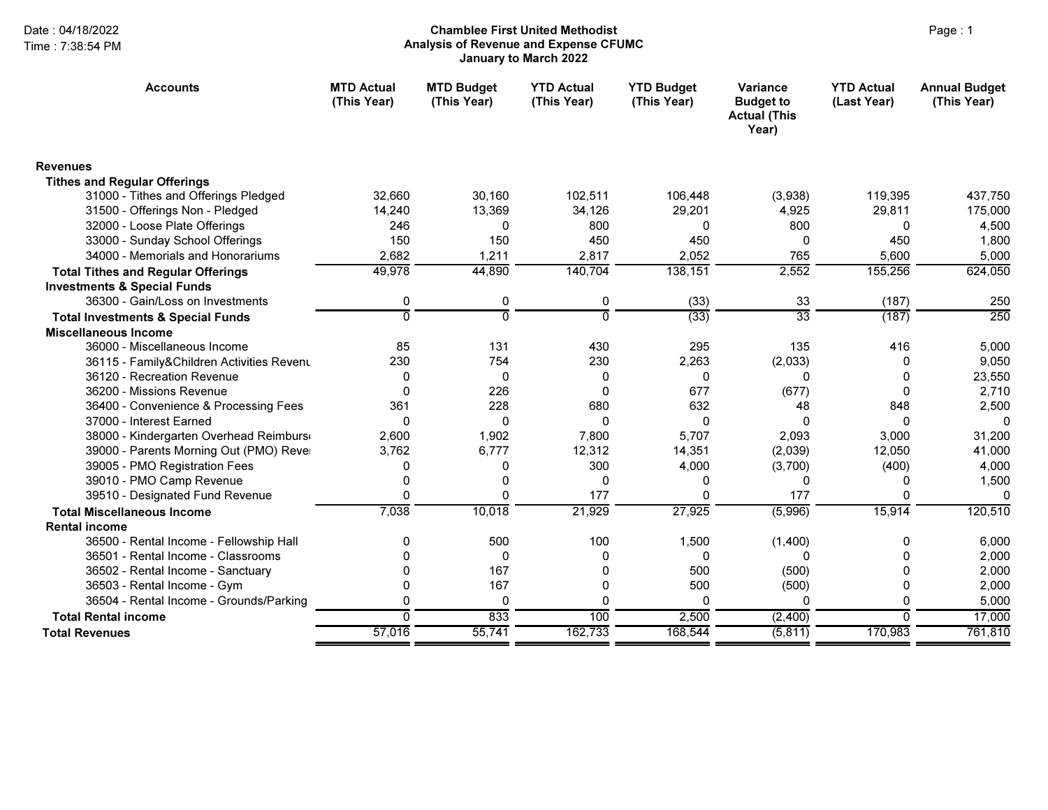# Page : 1 Chamblee First United MethodistAnalysis of Revenue and Expense CFUMC January to March 2022

| <b>Accounts</b>                              | <b>MTD Actual</b><br>(This Year) | <b>MTD Budget</b><br>(This Year) | <b>YTD Actual</b><br>(This Year) | <b>YTD Budget</b><br>(This Year) | Variance<br><b>Budget to</b><br><b>Actual (This</b><br>Year) | <b>YTD Actual</b><br>(Last Year) | <b>Annual Budget</b><br>(This Year) |
|----------------------------------------------|----------------------------------|----------------------------------|----------------------------------|----------------------------------|--------------------------------------------------------------|----------------------------------|-------------------------------------|
| <b>Revenues</b>                              |                                  |                                  |                                  |                                  |                                                              |                                  |                                     |
| <b>Tithes and Regular Offerings</b>          |                                  |                                  |                                  |                                  |                                                              |                                  |                                     |
| 31000 - Tithes and Offerings Pledged         | 32,660                           | 30,160                           | 102,511                          | 106,448                          | (3,938)                                                      | 119,395                          | 437,750                             |
| 31500 - Offerings Non - Pledged              | 14,240                           | 13,369                           | 34.126                           | 29,201                           | 4.925                                                        | 29,811                           | 175,000                             |
| 32000 - Loose Plate Offerings                | 246                              | 0                                | 800                              | 0                                | 800                                                          | $\Omega$                         | 4,500                               |
| 33000 - Sunday School Offerings              | 150                              | 150                              | 450                              | 450                              | 0                                                            | 450                              | 1,800                               |
| 34000 - Memorials and Honorariums            | 2,682                            | 1,211                            | 2,817                            | 2,052                            | 765                                                          | 5,600                            | 5,000                               |
| <b>Total Tithes and Regular Offerings</b>    | 49,978                           | 44,890                           | 140,704                          | 138,151                          | 2,552                                                        | 155,256                          | 624,050                             |
| <b>Investments &amp; Special Funds</b>       |                                  |                                  |                                  |                                  |                                                              |                                  |                                     |
| 36300 - Gain/Loss on Investments             | 0                                | 0                                | 0                                | (33)                             | 33                                                           | (187)                            | 250                                 |
| <b>Total Investments &amp; Special Funds</b> | $\overline{0}$                   | $\overline{0}$                   | $\Omega$                         | (33)                             | $\overline{33}$                                              | (187)                            | $\frac{1}{250}$                     |
| <b>Miscellaneous Income</b>                  |                                  |                                  |                                  |                                  |                                                              |                                  |                                     |
| 36000 - Miscellaneous Income                 | 85                               | 131                              | 430                              | 295                              | 135                                                          | 416                              | 5,000                               |
| 36115 - Family&Children Activities Revenu    | 230                              | 754                              | 230                              | 2,263                            | (2,033)                                                      | 0                                | 9,050                               |
| 36120 - Recreation Revenue                   | 0                                | $\mathbf 0$                      | $\mathbf{0}$                     | 0                                | O                                                            | 0                                | 23,550                              |
| 36200 - Missions Revenue                     | 0                                | 226                              | 0                                | 677                              | (677)                                                        | $\Omega$                         | 2,710                               |
| 36400 - Convenience & Processing Fees        | 361                              | 228                              | 680                              | 632                              | 48                                                           | 848                              | 2,500                               |
| 37000 - Interest Earned                      | $\Omega$                         | $\Omega$                         | $\Omega$                         | $\Omega$                         | $\Omega$                                                     | $\Omega$                         | $\Omega$                            |
| 38000 - Kindergarten Overhead Reimburs       | 2,600                            | 1,902                            | 7,800                            | 5,707                            | 2,093                                                        | 3,000                            | 31,200                              |
| 39000 - Parents Morning Out (PMO) Rever      | 3.762                            | 6.777                            | 12,312                           | 14,351                           | (2,039)                                                      | 12,050                           | 41,000                              |
| 39005 - PMO Registration Fees                | 0                                | 0                                | 300                              | 4,000                            | (3,700)                                                      | (400)                            | 4,000                               |
| 39010 - PMO Camp Revenue                     | 0                                | 0                                | $\mathbf{0}$                     | 0                                | 0                                                            | 0                                | 1,500                               |
| 39510 - Designated Fund Revenue              | $\Omega$                         | $\Omega$                         | 177                              | 0                                | 177                                                          | 0                                | $\Omega$                            |
| <b>Total Miscellaneous Income</b>            | 7,038                            | 10,018                           | 21,929                           | 27,925                           | (5,996)                                                      | 15,914                           | 120,510                             |
| <b>Rental income</b>                         |                                  |                                  |                                  |                                  |                                                              |                                  |                                     |
| 36500 - Rental Income - Fellowship Hall      | 0                                | 500                              | 100                              | 1,500                            | (1,400)                                                      | 0                                | 6,000                               |
| 36501 - Rental Income - Classrooms           | 0                                | 0                                | 0                                | $\mathbf{0}$                     | 0                                                            | 0                                | 2,000                               |
| 36502 - Rental Income - Sanctuary            | 0                                | 167                              | 0                                | 500                              | (500)                                                        | 0                                | 2,000                               |
| 36503 - Rental Income - Gym                  | 0                                | 167                              | 0                                | 500                              | (500)                                                        | 0                                | 2,000                               |
| 36504 - Rental Income - Grounds/Parking      | $\Omega$                         | $\mathbf 0$                      | $\Omega$                         | $\Omega$                         | <sup>0</sup>                                                 | $\Omega$                         | 5,000                               |
| <b>Total Rental income</b>                   | $\overline{0}$                   | 833                              | 100                              | 2,500                            | (2,400)                                                      | $\Omega$                         | 17,000                              |
| <b>Total Revenues</b>                        | 57,016                           | 55,741                           | 162,733                          | 168,544                          | (5, 811)                                                     | 170,983                          | 761,810                             |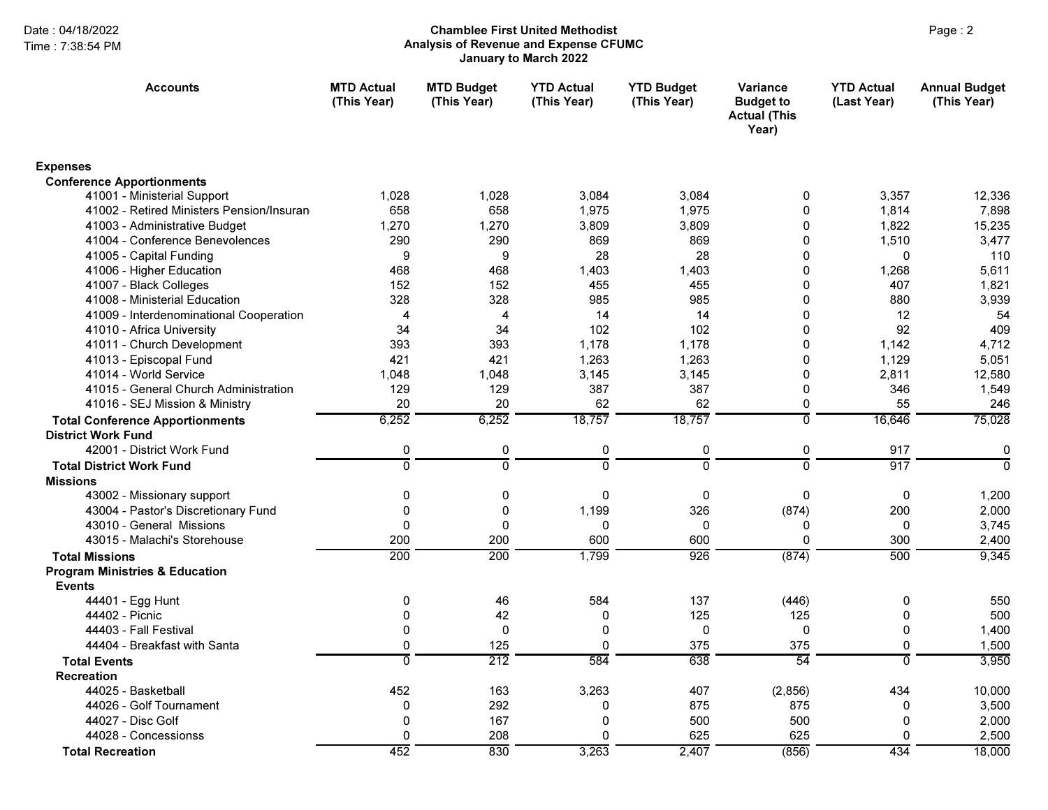## Page : 2 Chamblee First United MethodistAnalysis of Revenue and Expense CFUMC January to March 2022

| <b>Accounts</b>                           | <b>MTD Actual</b><br>(This Year) | <b>MTD Budget</b><br>(This Year) | <b>YTD Actual</b><br>(This Year) | <b>YTD Budget</b><br>(This Year) | <b>Variance</b><br><b>Budget to</b><br><b>Actual (This</b><br>Year) | <b>YTD Actual</b><br>(Last Year) | <b>Annual Budget</b><br>(This Year) |
|-------------------------------------------|----------------------------------|----------------------------------|----------------------------------|----------------------------------|---------------------------------------------------------------------|----------------------------------|-------------------------------------|
| <b>Expenses</b>                           |                                  |                                  |                                  |                                  |                                                                     |                                  |                                     |
| <b>Conference Apportionments</b>          |                                  |                                  |                                  |                                  |                                                                     |                                  |                                     |
| 41001 - Ministerial Support               | 1,028                            | 1,028                            | 3,084                            | 3,084                            | 0                                                                   | 3,357                            | 12,336                              |
| 41002 - Retired Ministers Pension/Insuran | 658                              | 658                              | 1,975                            | 1,975                            | 0                                                                   | 1.814                            | 7,898                               |
| 41003 - Administrative Budget             | 1,270                            | 1,270                            | 3,809                            | 3,809                            | $\Omega$                                                            | 1,822                            | 15,235                              |
| 41004 - Conference Benevolences           | 290                              | 290                              | 869                              | 869                              | $\Omega$                                                            | 1,510                            | 3,477                               |
| 41005 - Capital Funding                   | 9                                | 9                                | 28                               | 28                               | $\Omega$                                                            | $\Omega$                         | 110                                 |
| 41006 - Higher Education                  | 468                              | 468                              | 1,403                            | 1,403                            | $\Omega$                                                            | 1,268                            | 5,611                               |
| 41007 - Black Colleges                    | 152                              | 152                              | 455                              | 455                              | 0                                                                   | 407                              | 1,821                               |
| 41008 - Ministerial Education             | 328                              | 328                              | 985                              | 985                              | $\Omega$                                                            | 880                              | 3,939                               |
| 41009 - Interdenominational Cooperation   | 4                                | 4                                | 14                               | 14                               | 0                                                                   | 12                               | 54                                  |
| 41010 - Africa University                 | 34                               | 34                               | 102                              | 102                              | 0                                                                   | 92                               | 409                                 |
| 41011 - Church Development                | 393                              | 393                              | 1,178                            | 1.178                            | $\Omega$                                                            | 1,142                            | 4,712                               |
| 41013 - Episcopal Fund                    | 421                              | 421                              | 1,263                            | 1,263                            | 0                                                                   | 1,129                            | 5,051                               |
| 41014 - World Service                     | 1.048                            | 1,048                            | 3,145                            | 3,145                            | $\Omega$                                                            | 2,811                            | 12,580                              |
| 41015 - General Church Administration     | 129                              | 129                              | 387                              | 387                              | 0                                                                   | 346                              | 1,549                               |
| 41016 - SEJ Mission & Ministry            | 20                               | 20                               | 62                               | 62                               | 0                                                                   | 55                               | 246                                 |
| <b>Total Conference Apportionments</b>    | 6,252                            | 6,252                            | 18,757                           | 18,757                           | $\overline{0}$                                                      | 16,646                           | 75,028                              |
| <b>District Work Fund</b>                 |                                  |                                  |                                  |                                  |                                                                     |                                  |                                     |
| 42001 - District Work Fund                | $\pmb{0}$                        | $\pmb{0}$                        | $\pmb{0}$                        | 0                                | 0                                                                   | 917                              | $\mathbf 0$                         |
| <b>Total District Work Fund</b>           | $\overline{0}$                   | $\overline{0}$                   | $\overline{0}$                   | ō                                | $\overline{0}$                                                      | 917                              | ō                                   |
| <b>Missions</b>                           |                                  |                                  |                                  |                                  |                                                                     |                                  |                                     |
| 43002 - Missionary support                | 0                                | 0                                | 0                                | 0                                | 0                                                                   | 0                                | 1,200                               |
| 43004 - Pastor's Discretionary Fund       | 0                                | $\mathbf 0$                      | 1,199                            | 326                              | (874)                                                               | 200                              | 2,000                               |
| 43010 - General Missions                  | $\Omega$                         | $\mathbf 0$                      | 0                                | 0                                | 0                                                                   | $\mathbf{0}$                     | 3,745                               |
| 43015 - Malachi's Storehouse              | 200                              | 200                              | 600                              | 600                              | $\mathbf 0$                                                         | 300                              | 2,400                               |
| <b>Total Missions</b>                     | 200                              | $\overline{200}$                 | 1,799                            | 926                              | (874)                                                               | 500                              | 9,345                               |
| <b>Program Ministries &amp; Education</b> |                                  |                                  |                                  |                                  |                                                                     |                                  |                                     |
| <b>Events</b>                             |                                  |                                  |                                  |                                  |                                                                     |                                  |                                     |
| 44401 - Egg Hunt                          | 0                                | 46                               | 584                              | 137                              | (446)                                                               | 0                                | 550                                 |
| 44402 - Picnic                            | 0                                | 42                               | 0                                | 125                              | 125                                                                 | 0                                | 500                                 |
| 44403 - Fall Festival                     | $\Omega$                         | $\mathbf 0$                      | $\Omega$                         | $\mathbf 0$                      | $\mathbf 0$                                                         | $\Omega$                         | 1,400                               |
| 44404 - Breakfast with Santa              | 0                                | 125                              | $\Omega$                         | 375                              | 375                                                                 | 0                                | 1,500                               |
| <b>Total Events</b>                       | ō                                | $\overline{212}$                 | 584                              | 638                              | $\overline{54}$                                                     | $\overline{0}$                   | 3,950                               |
| <b>Recreation</b>                         |                                  |                                  |                                  |                                  |                                                                     |                                  |                                     |
| 44025 - Basketball                        | 452                              | 163                              | 3,263                            | 407                              | (2,856)                                                             | 434                              | 10,000                              |
| 44026 - Golf Tournament                   | 0                                | 292                              | 0                                | 875                              | 875                                                                 | 0                                | 3,500                               |
| 44027 - Disc Golf                         | 0                                | 167                              | $\Omega$                         | 500                              | 500                                                                 | 0                                | 2,000                               |
| 44028 - Concessionss                      | 0                                | 208                              | $\Omega$                         | 625                              | 625                                                                 | $\Omega$                         | 2,500                               |
| <b>Total Recreation</b>                   | 452                              | 830                              | 3,263                            | 2,407                            | (856)                                                               | 434                              | 18,000                              |
|                                           |                                  |                                  |                                  |                                  |                                                                     |                                  |                                     |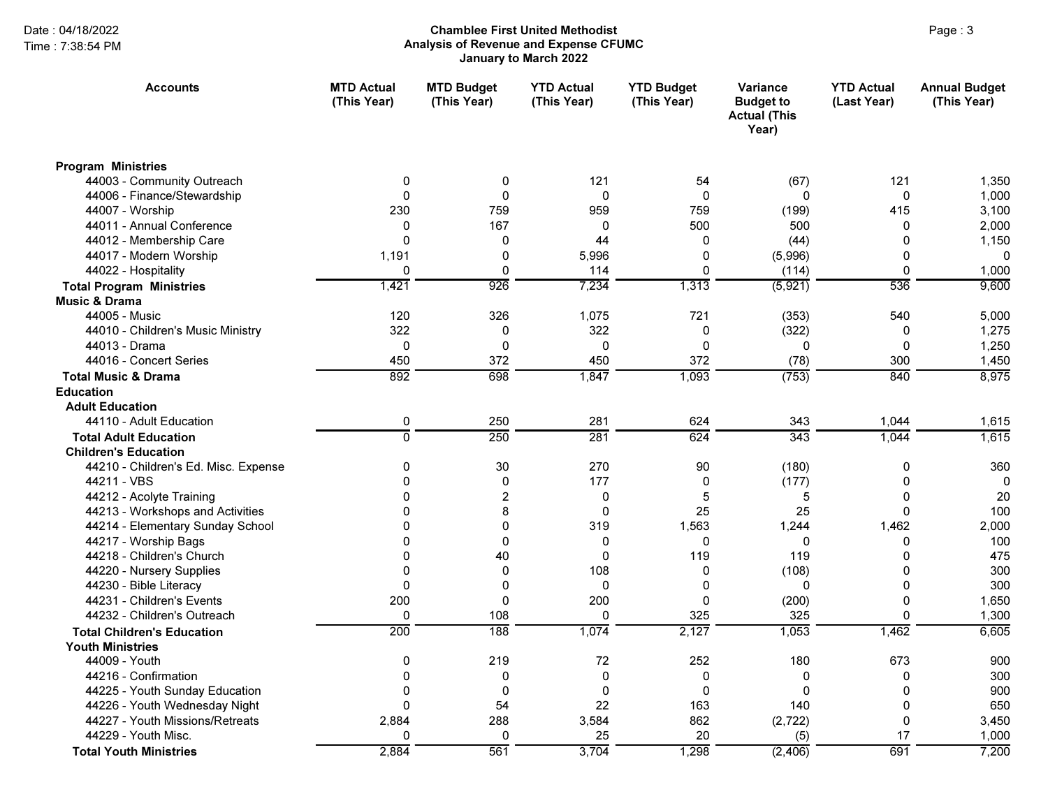# Page : 3 Chamblee First United MethodistAnalysis of Revenue and Expense CFUMC January to March 2022

| <b>Accounts</b>                      | <b>MTD Actual</b><br>(This Year) | <b>MTD Budget</b><br>(This Year) | <b>YTD Actual</b><br>(This Year) | <b>YTD Budget</b><br>(This Year) | Variance<br><b>Budget to</b><br><b>Actual (This</b><br>Year) | <b>YTD Actual</b><br>(Last Year) | <b>Annual Budget</b><br>(This Year) |
|--------------------------------------|----------------------------------|----------------------------------|----------------------------------|----------------------------------|--------------------------------------------------------------|----------------------------------|-------------------------------------|
| <b>Program Ministries</b>            |                                  |                                  |                                  |                                  |                                                              |                                  |                                     |
| 44003 - Community Outreach           | 0                                | 0                                | 121                              | 54                               | (67)                                                         | 121                              | 1,350                               |
| 44006 - Finance/Stewardship          | $\mathbf{0}$                     | $\mathbf 0$                      | $\mathbf{0}$                     | $\mathbf 0$                      | $\Omega$                                                     | $\mathbf 0$                      | 1,000                               |
| 44007 - Worship                      | 230                              | 759                              | 959                              | 759                              | (199)                                                        | 415                              | 3,100                               |
| 44011 - Annual Conference            | $\Omega$                         | 167                              | 0                                | 500                              | 500                                                          | 0                                | 2,000                               |
| 44012 - Membership Care              | $\Omega$                         | 0                                | 44                               | 0                                | (44)                                                         | 0                                | 1,150                               |
| 44017 - Modern Worship               | 1,191                            | $\mathbf 0$                      | 5,996                            | 0                                | (5,996)                                                      | 0                                | $\Omega$                            |
| 44022 - Hospitality                  | 0                                | $\Omega$                         | 114                              | 0                                | (114)                                                        | $\Omega$                         | 1,000                               |
| <b>Total Program Ministries</b>      | 1,421                            | 926                              | 7,234                            | 1,313                            | (5,921)                                                      | 536                              | 9,600                               |
| <b>Music &amp; Drama</b>             |                                  |                                  |                                  |                                  |                                                              |                                  |                                     |
| 44005 - Music                        | 120                              | 326                              | 1,075                            | 721                              | (353)                                                        | 540                              | 5,000                               |
| 44010 - Children's Music Ministry    | 322                              | 0                                | 322                              | 0                                | (322)                                                        | 0                                | 1,275                               |
| 44013 - Drama                        | $\Omega$                         | 0                                | 0                                | 0                                | 0                                                            | 0                                | 1,250                               |
| 44016 - Concert Series               | 450                              | 372                              | 450                              | 372                              | (78)                                                         | 300                              | 1,450                               |
| <b>Total Music &amp; Drama</b>       | 892                              | 698                              | 1,847                            | 1,093                            | (753)                                                        | 840                              | 8,975                               |
| <b>Education</b>                     |                                  |                                  |                                  |                                  |                                                              |                                  |                                     |
| <b>Adult Education</b>               |                                  |                                  |                                  |                                  |                                                              |                                  |                                     |
| 44110 - Adult Education              | 0                                | 250                              | 281                              | 624                              | 343                                                          | 1,044                            | 1,615                               |
| <b>Total Adult Education</b>         | 0                                | 250                              | 281                              | 624                              | 343                                                          | 1,044                            | 1,615                               |
| <b>Children's Education</b>          |                                  |                                  |                                  |                                  |                                                              |                                  |                                     |
| 44210 - Children's Ed. Misc. Expense | 0                                | 30                               | 270                              | 90                               | (180)                                                        | $\mathbf 0$                      | 360                                 |
| 44211 - VBS                          | $\Omega$                         | $\mathbf 0$                      | 177                              | 0                                | (177)                                                        | $\mathbf 0$                      | 0                                   |
| 44212 - Acolyte Training             | 0                                | $\overline{2}$                   | 0                                | 5                                | 5                                                            | 0                                | 20                                  |
| 44213 - Workshops and Activities     | $\Omega$                         | 8                                | $\mathbf{0}$                     | 25                               | 25                                                           | $\mathbf 0$                      | 100                                 |
| 44214 - Elementary Sunday School     | 0                                | $\Omega$                         | 319                              | 1,563                            | 1,244                                                        | 1,462                            | 2,000                               |
| 44217 - Worship Bags                 | 0                                | $\Omega$                         | 0                                | $\Omega$                         | 0                                                            | $\mathbf 0$                      | 100                                 |
| 44218 - Children's Church            | $\Omega$                         | 40                               | $\mathbf{0}$                     | 119                              | 119                                                          | $\mathbf 0$                      | 475                                 |
| 44220 - Nursery Supplies             | 0                                | $\mathbf 0$                      | 108                              | 0                                | (108)                                                        | 0                                | 300                                 |
| 44230 - Bible Literacy               | 0                                | $\mathbf{0}$                     | 0                                | 0                                | 0                                                            | $\mathbf 0$                      | 300                                 |
| 44231 - Children's Events            | 200                              | $\Omega$                         | 200                              | 0                                | (200)                                                        | $\mathbf 0$                      | 1,650                               |
| 44232 - Children's Outreach          | 0                                | 108                              | $\Omega$                         | 325                              | 325                                                          | $\Omega$                         | 1,300                               |
| <b>Total Children's Education</b>    | $\overline{200}$                 | 188                              | 1,074                            | 2,127                            | 1,053                                                        | 1,462                            | 6,605                               |
| <b>Youth Ministries</b>              |                                  |                                  |                                  |                                  |                                                              |                                  |                                     |
| 44009 - Youth                        | 0                                | 219                              | 72                               | 252                              | 180                                                          | 673                              | 900                                 |
| 44216 - Confirmation                 | 0                                | $\Omega$                         | $\mathbf{0}$                     | 0                                | 0                                                            | $\Omega$                         | 300                                 |
| 44225 - Youth Sunday Education       | $\Omega$                         | $\Omega$                         | $\Omega$                         | $\Omega$                         | $\Omega$                                                     | 0                                | 900                                 |
| 44226 - Youth Wednesday Night        | 0                                | 54                               | 22                               | 163                              | 140                                                          | $\mathbf 0$                      | 650                                 |
| 44227 - Youth Missions/Retreats      | 2,884                            | 288                              | 3,584                            | 862                              | (2, 722)                                                     | $\Omega$                         | 3,450                               |
| 44229 - Youth Misc.                  | 0                                | $\Omega$                         | 25                               | 20                               | (5)                                                          | 17                               | 1,000                               |
| <b>Total Youth Ministries</b>        | 2,884                            | 561                              | 3,704                            | 1,298                            | (2, 406)                                                     | 691                              | 7,200                               |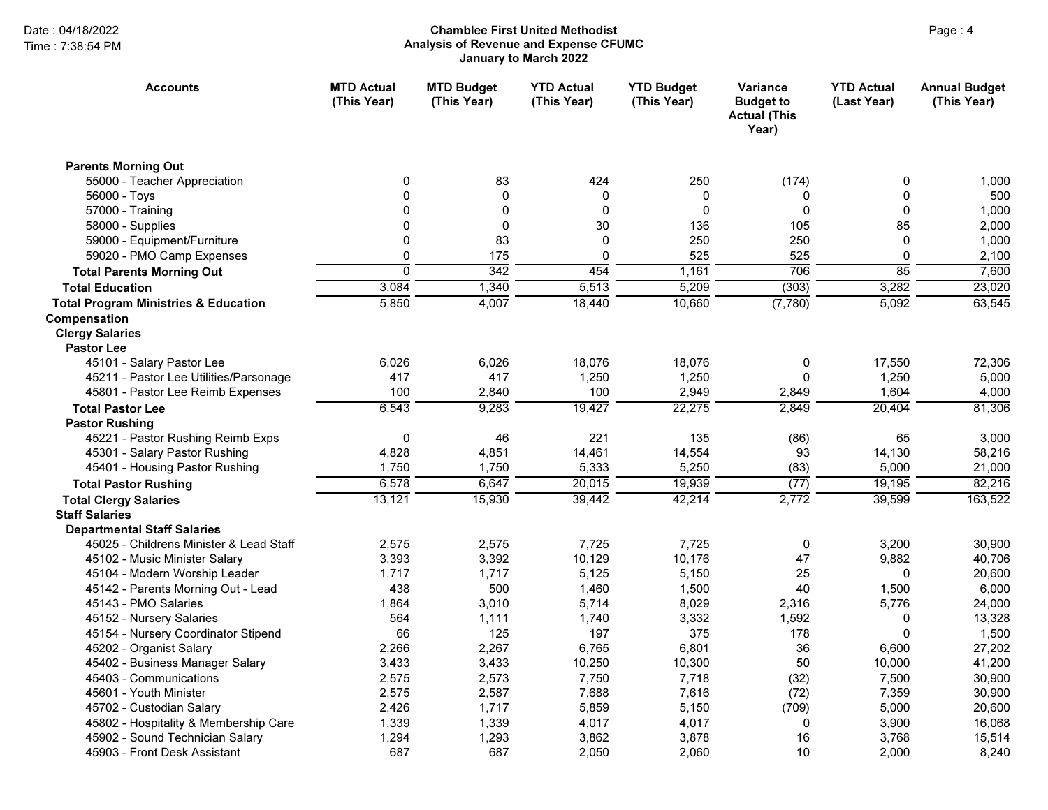# Page : 4 Chamblee First United MethodistAnalysis of Revenue and Expense CFUMC January to March 2022

| <b>Accounts</b>                                 | <b>MTD Actual</b><br>(This Year) | <b>MTD Budget</b><br>(This Year) | <b>YTD Actual</b><br>(This Year) | <b>YTD Budget</b><br>(This Year) | Variance<br><b>Budget to</b><br><b>Actual (This</b><br>Year) | <b>YTD Actual</b><br>(Last Year) | <b>Annual Budget</b><br>(This Year) |
|-------------------------------------------------|----------------------------------|----------------------------------|----------------------------------|----------------------------------|--------------------------------------------------------------|----------------------------------|-------------------------------------|
| <b>Parents Morning Out</b>                      |                                  |                                  |                                  |                                  |                                                              |                                  |                                     |
| 55000 - Teacher Appreciation                    | 0                                | 83                               | 424                              | 250                              | (174)                                                        | 0                                | 1,000                               |
| 56000 - Toys                                    | $\mathbf 0$                      | $\mathbf 0$                      | 0                                | 0                                | 0                                                            | 0                                | 500                                 |
| 57000 - Training                                | 0                                | $\mathbf 0$                      | $\mathbf{0}$                     | $\mathbf{0}$                     | $\mathbf 0$                                                  | $\mathbf 0$                      | 1,000                               |
| 58000 - Supplies                                | $\mathbf 0$                      | $\pmb{0}$                        | 30                               | 136                              | 105                                                          | 85                               | 2,000                               |
| 59000 - Equipment/Furniture                     | 0                                | 83                               | $\Omega$                         | 250                              | 250                                                          | $\mathbf{0}$                     | 1,000                               |
| 59020 - PMO Camp Expenses                       | 0                                | 175                              | $\mathbf 0$                      | 525                              | 525                                                          | 0                                | 2,100                               |
| <b>Total Parents Morning Out</b>                | $\overline{0}$                   | 342                              | 454                              | 1,161                            | 706                                                          | $\overline{85}$                  | 7,600                               |
| <b>Total Education</b>                          | 3,084                            | 1,340                            | 5,513                            | 5,209                            | (303)                                                        | 3,282                            | 23,020                              |
| <b>Total Program Ministries &amp; Education</b> | 5,850                            | 4,007                            | 18,440                           | 10,660                           | (7,780)                                                      | 5,092                            | 63,545                              |
| Compensation                                    |                                  |                                  |                                  |                                  |                                                              |                                  |                                     |
| <b>Clergy Salaries</b>                          |                                  |                                  |                                  |                                  |                                                              |                                  |                                     |
| <b>Pastor Lee</b>                               |                                  |                                  |                                  |                                  |                                                              |                                  |                                     |
| 45101 - Salary Pastor Lee                       | 6.026                            | 6,026                            | 18,076                           | 18,076                           | 0                                                            | 17.550                           | 72.306                              |
| 45211 - Pastor Lee Utilities/Parsonage          | 417                              | 417                              | 1,250                            | 1,250                            | 0                                                            | 1,250                            | 5,000                               |
| 45801 - Pastor Lee Reimb Expenses               | 100                              | 2,840                            | 100                              | 2,949                            | 2,849                                                        | 1,604                            | 4,000                               |
| <b>Total Pastor Lee</b>                         | 6,543                            | 9,283                            | 19,427                           | 22,275                           | 2,849                                                        | 20,404                           | 81,306                              |
| <b>Pastor Rushing</b>                           |                                  |                                  |                                  |                                  |                                                              |                                  |                                     |
| 45221 - Pastor Rushing Reimb Exps               | $\mathbf 0$                      | 46                               | 221                              | 135                              | (86)                                                         | 65                               | 3,000                               |
| 45301 - Salary Pastor Rushing                   | 4,828                            | 4,851                            | 14,461                           | 14,554                           | 93                                                           | 14,130                           | 58,216                              |
| 45401 - Housing Pastor Rushing                  | 1,750                            | 1,750                            | 5,333                            | 5,250                            | (83)                                                         | 5,000                            | 21,000                              |
| <b>Total Pastor Rushing</b>                     | 6,578                            | 6,647                            | 20,015                           | 19,939                           | (77)                                                         | 19,195                           | 82,216                              |
| <b>Total Clergy Salaries</b>                    | 13,121                           | 15,930                           | 39,442                           | 42,214                           | 2,772                                                        | 39,599                           | 163,522                             |
| <b>Staff Salaries</b>                           |                                  |                                  |                                  |                                  |                                                              |                                  |                                     |
| <b>Departmental Staff Salaries</b>              |                                  |                                  |                                  |                                  |                                                              |                                  |                                     |
| 45025 - Childrens Minister & Lead Staff         | 2,575                            | 2,575                            | 7,725                            | 7,725                            | 0                                                            | 3,200                            | 30,900                              |
| 45102 - Music Minister Salary                   | 3,393                            | 3,392                            | 10,129                           | 10,176                           | 47                                                           | 9,882                            | 40,706                              |
| 45104 - Modern Worship Leader                   | 1,717                            | 1,717                            | 5,125                            | 5,150                            | 25                                                           | 0                                | 20,600                              |
| 45142 - Parents Morning Out - Lead              | 438                              | 500                              | 1,460                            | 1,500                            | 40                                                           | 1,500                            | 6,000                               |
| 45143 - PMO Salaries                            | 1,864                            | 3,010                            | 5,714                            | 8,029                            | 2,316                                                        | 5,776                            | 24,000                              |
| 45152 - Nursery Salaries                        | 564                              | 1,111                            | 1,740                            | 3,332                            | 1,592                                                        | 0                                | 13,328                              |
| 45154 - Nursery Coordinator Stipend             | 66                               | 125                              | 197                              | 375                              | 178                                                          | $\Omega$                         | 1,500                               |
| 45202 - Organist Salary                         | 2,266                            | 2,267                            | 6,765                            | 6,801                            | 36                                                           | 6,600                            | 27,202                              |
| 45402 - Business Manager Salary                 | 3,433                            | 3,433                            | 10,250                           | 10,300                           | 50                                                           | 10,000                           | 41,200                              |
| 45403 - Communications                          | 2,575                            | 2,573                            | 7,750                            | 7,718                            | (32)                                                         | 7,500                            | 30,900                              |
| 45601 - Youth Minister                          | 2,575                            | 2,587                            | 7,688                            | 7,616                            | (72)                                                         | 7,359                            | 30,900                              |
| 45702 - Custodian Salary                        | 2,426                            | 1,717                            | 5,859                            | 5,150                            | (709)                                                        | 5,000                            | 20,600                              |
| 45802 - Hospitality & Membership Care           | 1,339                            | 1,339                            | 4,017                            | 4,017                            | 0                                                            | 3,900                            | 16,068                              |
| 45902 - Sound Technician Salary                 | 1,294                            | 1,293                            | 3,862                            | 3,878                            | 16                                                           | 3,768                            | 15,514                              |
| 45903 - Front Desk Assistant                    | 687                              | 687                              | 2,050                            | 2,060                            | 10                                                           | 2,000                            | 8,240                               |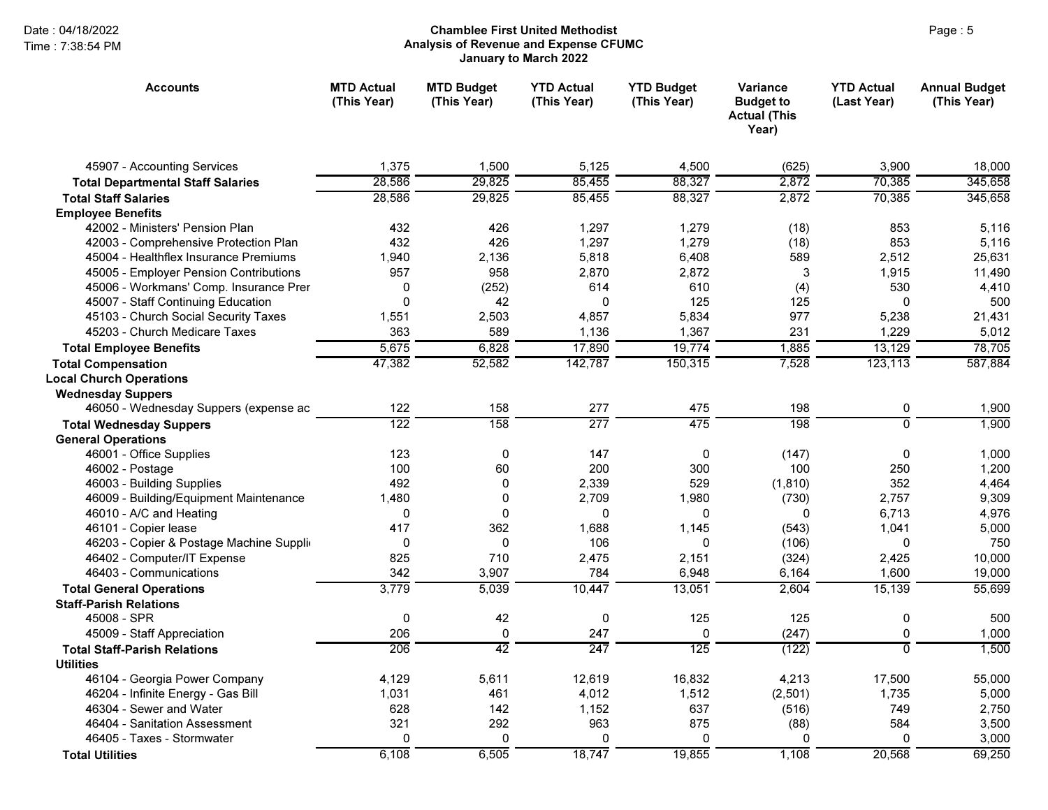## Page : 5 Chamblee First United MethodistAnalysis of Revenue and Expense CFUMC January to March 2022

| <b>Accounts</b>                          | <b>MTD Actual</b><br>(This Year) | <b>MTD Budget</b><br>(This Year) | <b>YTD Actual</b><br>(This Year) | <b>YTD Budget</b><br>(This Year) | Variance<br><b>Budget to</b><br><b>Actual (This</b><br>Year) | <b>YTD Actual</b><br>(Last Year) | <b>Annual Budget</b><br>(This Year) |
|------------------------------------------|----------------------------------|----------------------------------|----------------------------------|----------------------------------|--------------------------------------------------------------|----------------------------------|-------------------------------------|
| 45907 - Accounting Services              | 1,375                            | 1,500                            | 5,125                            | 4,500                            | (625)                                                        | 3,900                            | 18,000                              |
| <b>Total Departmental Staff Salaries</b> | 28,586                           | 29,825                           | 85,455                           | 88,327                           | 2,872                                                        | 70,385                           | 345,658                             |
| <b>Total Staff Salaries</b>              | 28,586                           | 29,825                           | 85,455                           | 88,327                           | 2,872                                                        | 70,385                           | 345,658                             |
| <b>Employee Benefits</b>                 |                                  |                                  |                                  |                                  |                                                              |                                  |                                     |
| 42002 - Ministers' Pension Plan          | 432                              | 426                              | 1,297                            | 1,279                            | (18)                                                         | 853                              | 5,116                               |
| 42003 - Comprehensive Protection Plan    | 432                              | 426                              | 1,297                            | 1,279                            | (18)                                                         | 853                              | 5,116                               |
| 45004 - Healthflex Insurance Premiums    | 1,940                            | 2,136                            | 5,818                            | 6,408                            | 589                                                          | 2,512                            | 25,631                              |
| 45005 - Employer Pension Contributions   | 957                              | 958                              | 2,870                            | 2,872                            | 3                                                            | 1,915                            | 11,490                              |
| 45006 - Workmans' Comp. Insurance Prer   | 0                                | (252)                            | 614                              | 610                              | (4)                                                          | 530                              | 4,410                               |
| 45007 - Staff Continuing Education       | $\mathbf 0$                      | 42                               | $\Omega$                         | 125                              | 125                                                          | $\mathbf 0$                      | 500                                 |
| 45103 - Church Social Security Taxes     | 1,551                            | 2,503                            | 4,857                            | 5,834                            | 977                                                          | 5,238                            | 21,431                              |
| 45203 - Church Medicare Taxes            | 363                              | 589                              | 1,136                            | 1,367                            | 231                                                          | 1,229                            | 5,012                               |
| <b>Total Employee Benefits</b>           | 5,675                            | 6,828                            | 17,890                           | 19,774                           | 1,885                                                        | 13,129                           | 78,705                              |
| <b>Total Compensation</b>                | 47,382                           | 52,582                           | 142,787                          | 150,315                          | 7,528                                                        | 123,113                          | 587,884                             |
| <b>Local Church Operations</b>           |                                  |                                  |                                  |                                  |                                                              |                                  |                                     |
| <b>Wednesday Suppers</b>                 |                                  |                                  |                                  |                                  |                                                              |                                  |                                     |
| 46050 - Wednesday Suppers (expense ac    | 122                              | 158                              | 277                              | 475                              | 198                                                          | 0                                | 1,900                               |
| <b>Total Wednesday Suppers</b>           | $\overline{122}$                 | 158                              | $\overline{277}$                 | 475                              | 198                                                          | $\overline{0}$                   | 1,900                               |
| <b>General Operations</b>                |                                  |                                  |                                  |                                  |                                                              |                                  |                                     |
| 46001 - Office Supplies                  | 123                              | $\mathbf 0$                      | 147                              | 0                                | (147)                                                        | 0                                | 1,000                               |
| 46002 - Postage                          | 100                              | 60                               | 200                              | 300                              | 100                                                          | 250                              | 1,200                               |
| 46003 - Building Supplies                | 492                              | $\mathbf{0}$                     | 2,339                            | 529                              | (1, 810)                                                     | 352                              | 4,464                               |
| 46009 - Building/Equipment Maintenance   | 1,480                            | $\Omega$                         | 2,709                            | 1,980                            | (730)                                                        | 2,757                            | 9,309                               |
| 46010 - A/C and Heating                  | 0                                | $\Omega$                         | 0                                | 0                                | $\Omega$                                                     | 6,713                            | 4,976                               |
| 46101 - Copier lease                     | 417                              | 362                              | 1,688                            | 1,145                            | (543)                                                        | 1,041                            | 5,000                               |
| 46203 - Copier & Postage Machine Supplio | 0                                | $\Omega$                         | 106                              | 0                                | (106)                                                        | 0                                | 750                                 |
| 46402 - Computer/IT Expense              | 825                              | 710                              | 2,475                            | 2.151                            | (324)                                                        | 2,425                            | 10,000                              |
| 46403 - Communications                   | 342                              | 3,907                            | 784                              | 6,948                            | 6,164                                                        | 1,600                            | 19,000                              |
| <b>Total General Operations</b>          | 3,779                            | 5,039                            | 10,447                           | 13,051                           | 2,604                                                        | 15,139                           | 55,699                              |
| <b>Staff-Parish Relations</b>            |                                  |                                  |                                  |                                  |                                                              |                                  |                                     |
| 45008 - SPR                              | $\mathbf 0$                      | 42                               | $\mathbf 0$                      | 125                              | 125                                                          | 0                                | 500                                 |
| 45009 - Staff Appreciation               | 206                              | $\pmb{0}$                        | 247                              | 0                                | (247)                                                        | 0                                | 1,000                               |
| <b>Total Staff-Parish Relations</b>      | 206                              | $\overline{42}$                  | $\overline{247}$                 | $\overline{125}$                 | (122)                                                        | $\overline{\mathfrak{o}}$        | 1,500                               |
| <b>Utilities</b>                         |                                  |                                  |                                  |                                  |                                                              |                                  |                                     |
| 46104 - Georgia Power Company            | 4,129                            | 5,611                            | 12,619                           | 16,832                           | 4,213                                                        | 17,500                           | 55,000                              |
| 46204 - Infinite Energy - Gas Bill       | 1,031                            | 461                              | 4,012                            | 1,512                            | (2,501)                                                      | 1,735                            | 5,000                               |
| 46304 - Sewer and Water                  | 628                              | 142                              | 1,152                            | 637                              | (516)                                                        | 749                              | 2,750                               |
| 46404 - Sanitation Assessment            | 321                              | 292                              | 963                              | 875                              | (88)                                                         | 584                              | 3,500                               |
| 46405 - Taxes - Stormwater               | $\mathbf 0$                      | $\Omega$                         | 0                                | $\mathbf 0$                      | $\mathbf 0$                                                  | $\mathbf 0$                      | 3,000                               |
| <b>Total Utilities</b>                   | 6,108                            | 6,505                            | 18,747                           | 19,855                           | 1,108                                                        | 20,568                           | 69,250                              |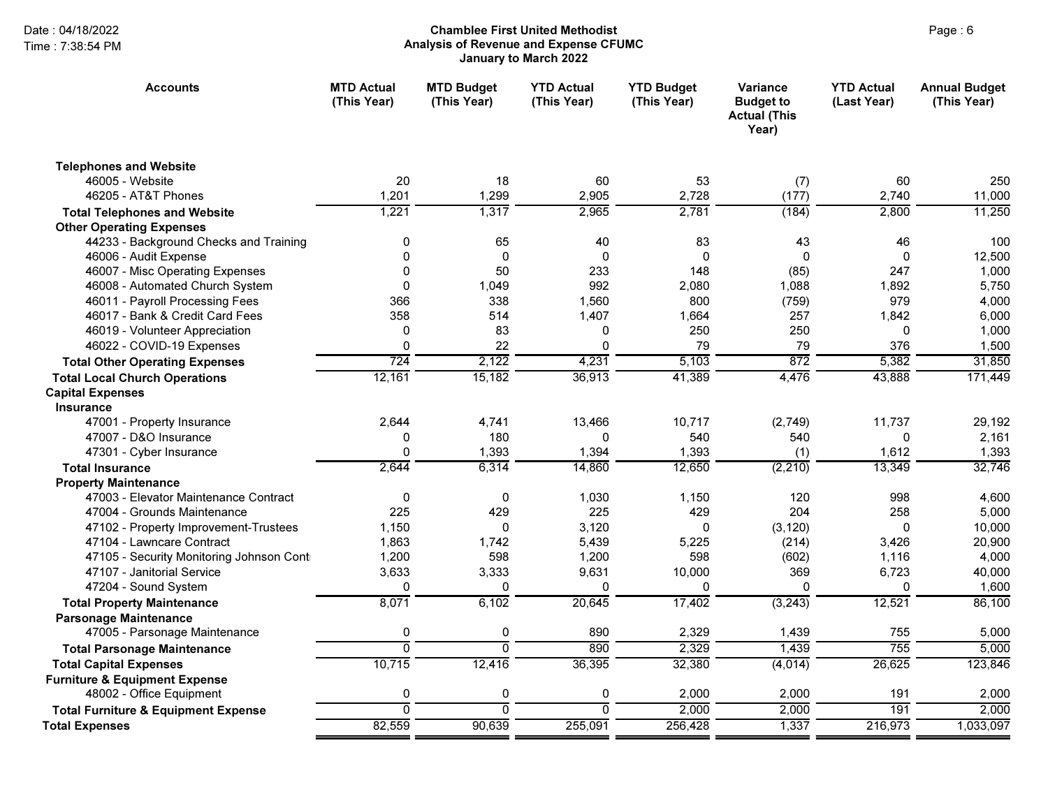# Page : 6 Chamblee First United MethodistAnalysis of Revenue and Expense CFUMC January to March 2022

| <b>Accounts</b>                                | <b>MTD Actual</b><br>(This Year) | <b>MTD Budget</b><br>(This Year) | <b>YTD Actual</b><br>(This Year) | <b>YTD Budget</b><br>(This Year) | <b>Variance</b><br><b>Budget to</b><br><b>Actual (This</b><br>Year) | <b>YTD Actual</b><br>(Last Year) | <b>Annual Budget</b><br>(This Year) |
|------------------------------------------------|----------------------------------|----------------------------------|----------------------------------|----------------------------------|---------------------------------------------------------------------|----------------------------------|-------------------------------------|
| <b>Telephones and Website</b>                  |                                  |                                  |                                  |                                  |                                                                     |                                  |                                     |
| 46005 - Website                                | 20                               | 18                               | 60                               | 53                               | (7)                                                                 | 60                               | 250                                 |
| 46205 - AT&T Phones                            | 1,201                            | 1,299                            | 2,905                            | 2,728                            | (177)                                                               | 2,740                            | 11,000                              |
| <b>Total Telephones and Website</b>            | 1,221                            | 1,317                            | 2,965                            | 2,781                            | (184)                                                               | 2,800                            | 11,250                              |
| <b>Other Operating Expenses</b>                |                                  |                                  |                                  |                                  |                                                                     |                                  |                                     |
| 44233 - Background Checks and Training         | 0                                | 65                               | 40                               | 83                               | 43                                                                  | 46                               | 100                                 |
| 46006 - Audit Expense                          | $\Omega$                         | $\Omega$                         | $\Omega$                         | $\Omega$                         | 0                                                                   | $\Omega$                         | 12,500                              |
| 46007 - Misc Operating Expenses                | 0                                | 50                               | 233                              | 148                              | (85)                                                                | 247                              | 1,000                               |
| 46008 - Automated Church System                | $\mathbf{0}$                     | 1,049                            | 992                              | 2,080                            | 1,088                                                               | 1,892                            | 5,750                               |
| 46011 - Payroll Processing Fees                | 366                              | 338                              | 1,560                            | 800                              | (759)                                                               | 979                              | 4,000                               |
| 46017 - Bank & Credit Card Fees                | 358                              | 514                              | 1,407                            | 1,664                            | 257                                                                 | 1,842                            | 6,000                               |
| 46019 - Volunteer Appreciation                 | $\mathbf{0}$                     | 83                               | 0                                | 250                              | 250                                                                 | $\Omega$                         | 1,000                               |
| 46022 - COVID-19 Expenses                      | 0                                | 22                               | 0                                | 79                               | 79                                                                  | 376                              | 1,500                               |
| <b>Total Other Operating Expenses</b>          | 724                              | 2,122                            | 4,231                            | 5,103                            | 872                                                                 | 5,382                            | 31,850                              |
| <b>Total Local Church Operations</b>           | 12,161                           | 15,182                           | 36,913                           | 41,389                           | 4,476                                                               | 43,888                           | 171,449                             |
| <b>Capital Expenses</b>                        |                                  |                                  |                                  |                                  |                                                                     |                                  |                                     |
| <b>Insurance</b>                               |                                  |                                  |                                  |                                  |                                                                     |                                  |                                     |
| 47001 - Property Insurance                     | 2,644                            | 4,741                            | 13,466                           | 10,717                           | (2,749)                                                             | 11,737                           | 29,192                              |
| 47007 - D&O Insurance                          | 0                                | 180                              | $\Omega$                         | 540                              | 540                                                                 | $\Omega$                         | 2,161                               |
| 47301 - Cyber Insurance                        | $\mathbf 0$                      | 1,393                            | 1,394                            | 1,393                            | (1)                                                                 | 1,612                            | 1,393                               |
| <b>Total Insurance</b>                         | 2,644                            | 6,314                            | 14,860                           | 12,650                           | (2, 210)                                                            | 13,349                           | 32,746                              |
| <b>Property Maintenance</b>                    |                                  |                                  |                                  |                                  |                                                                     |                                  |                                     |
| 47003 - Elevator Maintenance Contract          | 0                                | $\mathbf{0}$                     | 1,030                            | 1,150                            | 120                                                                 | 998                              | 4,600                               |
| 47004 - Grounds Maintenance                    | 225                              | 429                              | 225                              | 429                              | 204                                                                 | 258                              | 5,000                               |
| 47102 - Property Improvement-Trustees          | 1,150                            | 0                                | 3,120                            | 0                                | (3, 120)                                                            | 0                                | 10,000                              |
| 47104 - Lawncare Contract                      | 1,863                            | 1.742                            | 5,439                            | 5.225                            | (214)                                                               | 3,426                            | 20,900                              |
| 47105 - Security Monitoring Johnson Cont       | 1,200                            | 598                              | 1,200                            | 598                              | (602)                                                               | 1,116                            | 4,000                               |
| 47107 - Janitorial Service                     | 3,633                            | 3,333                            | 9,631                            | 10,000                           | 369                                                                 | 6,723                            | 40,000                              |
| 47204 - Sound System                           | $\Omega$                         | $\Omega$                         | $\Omega$                         | $\Omega$                         | 0                                                                   | U                                | 1,600                               |
| <b>Total Property Maintenance</b>              | 8,071                            | 6,102                            | 20,645                           | 17,402                           | (3,243)                                                             | 12,521                           | 86,100                              |
| <b>Parsonage Maintenance</b>                   |                                  |                                  |                                  |                                  |                                                                     |                                  |                                     |
| 47005 - Parsonage Maintenance                  | 0                                | $\pmb{0}$                        | 890                              | 2,329                            | 1,439                                                               | 755                              | 5,000                               |
| <b>Total Parsonage Maintenance</b>             | ō                                | $\overline{0}$                   | 890                              | 2,329                            | 1,439                                                               | $\overline{755}$                 | 5,000                               |
| <b>Total Capital Expenses</b>                  | 10,715                           | 12,416                           | 36,395                           | 32,380                           | (4,014)                                                             | 26,625                           | 123,846                             |
| <b>Furniture &amp; Equipment Expense</b>       |                                  |                                  |                                  |                                  |                                                                     |                                  |                                     |
| 48002 - Office Equipment                       | 0                                | 0                                | 0                                | 2,000                            | 2,000                                                               | 191                              | 2,000                               |
| <b>Total Furniture &amp; Equipment Expense</b> | $\overline{0}$                   | $\Omega$                         | $\overline{0}$                   | 2,000                            | 2,000                                                               | 191                              | 2,000                               |
| <b>Total Expenses</b>                          | 82,559                           | 90,639                           | 255,091                          | 256,428                          | 1,337                                                               | 216,973                          | 1,033,097                           |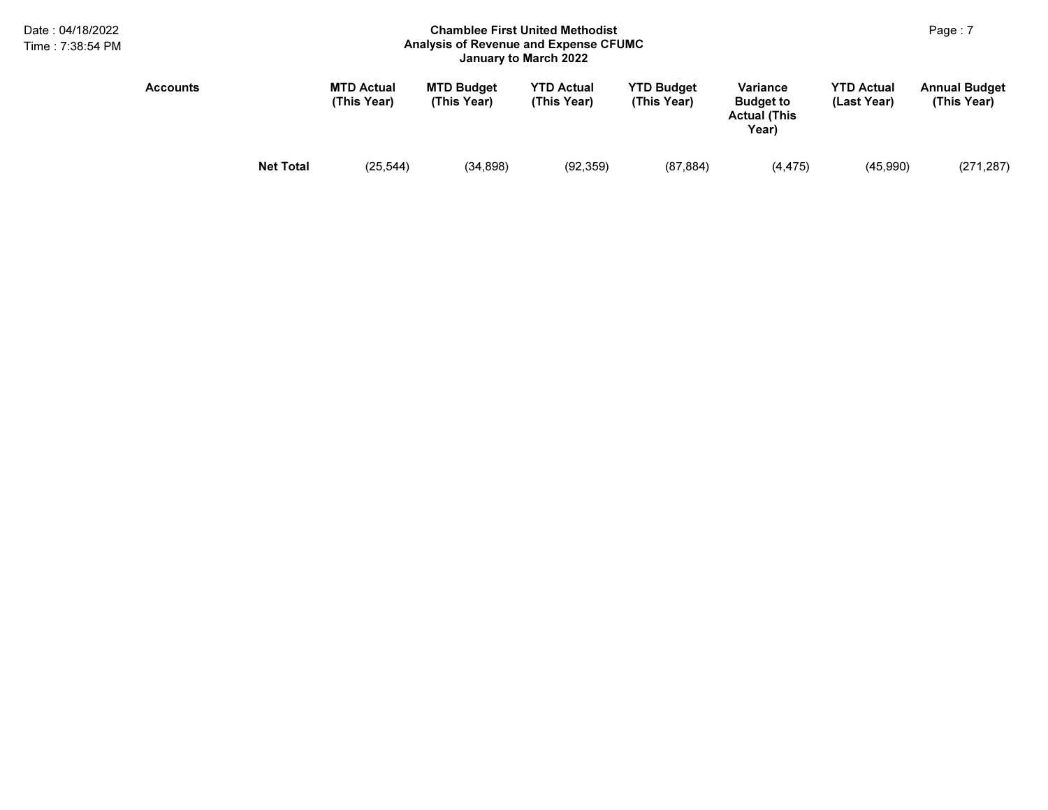## Page : 7 Chamblee First United MethodistAnalysis of Revenue and Expense CFUMC January to March 2022

| Accounts |                  | <b>MTD Actual</b><br>(This Year) | <b>MTD Budget</b><br>(This Year) | <b>YTD Actual</b><br>(This Year) | <b>YTD Budget</b><br>(This Year) | Variance<br><b>Budget to</b><br><b>Actual (This</b><br>Year) | <b>YTD Actual</b><br>(Last Year) | <b>Annual Budget</b><br>(This Year) |
|----------|------------------|----------------------------------|----------------------------------|----------------------------------|----------------------------------|--------------------------------------------------------------|----------------------------------|-------------------------------------|
|          | <b>Net Total</b> | (25, 544)                        | (34, 898)                        | (92, 359)                        | (87, 884)                        | (4, 475)                                                     | (45,990)                         | (271, 287)                          |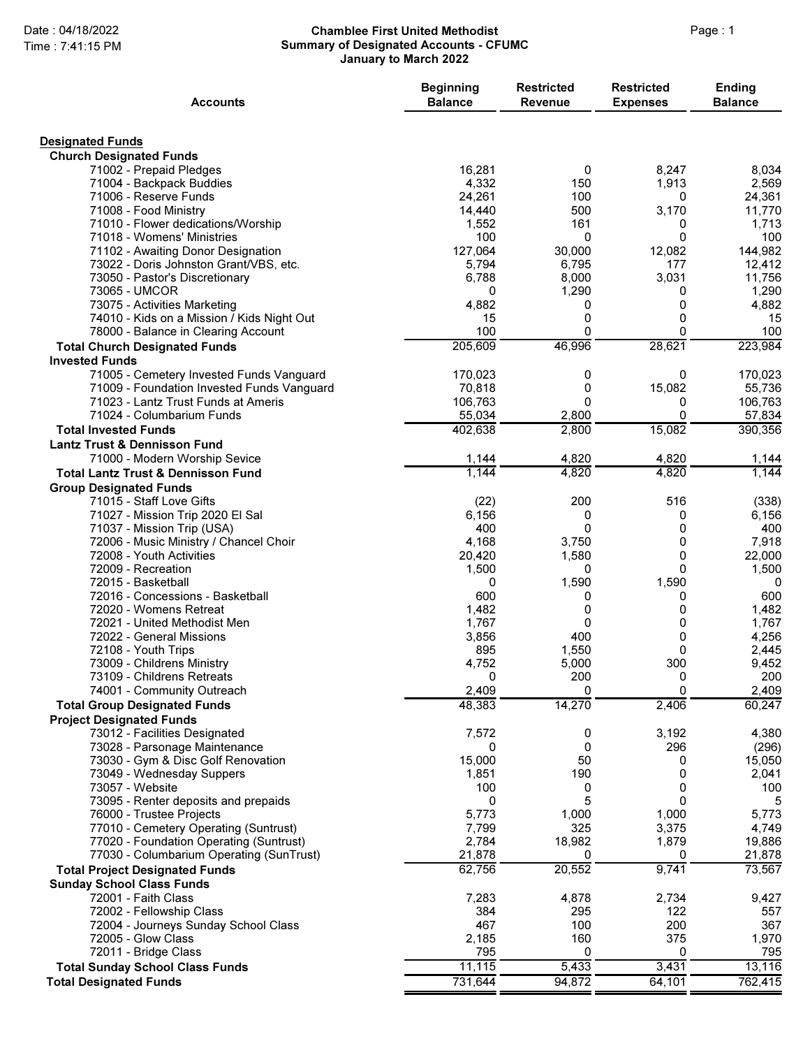### Date : 04/18/2022 **Chamblee First United Methodist** Page : 1 Summary of Designated Accounts - CFUMC January to March 2022

| <b>Accounts</b>                                                      | <b>Beginning</b><br><b>Balance</b> | <b>Restricted</b><br><b>Revenue</b> | <b>Restricted</b><br><b>Expenses</b> | <b>Ending</b><br><b>Balance</b> |
|----------------------------------------------------------------------|------------------------------------|-------------------------------------|--------------------------------------|---------------------------------|
| <b>Designated Funds</b>                                              |                                    |                                     |                                      |                                 |
| <b>Church Designated Funds</b>                                       |                                    |                                     |                                      |                                 |
| 71002 - Prepaid Pledges                                              | 16,281                             | 0                                   | 8,247                                | 8,034                           |
| 71004 - Backpack Buddies                                             | 4,332                              | 150                                 | 1,913                                | 2,569                           |
| 71006 - Reserve Funds                                                | 24,261                             | 100                                 | 0                                    | 24,361                          |
| 71008 - Food Ministry                                                | 14,440                             | 500                                 | 3,170                                | 11,770                          |
| 71010 - Flower dedications/Worship<br>71018 - Womens' Ministries     | 1,552<br>100                       | 161<br>0                            | 0<br>0                               | 1,713<br>100                    |
| 71102 - Awaiting Donor Designation                                   | 127,064                            | 30,000                              | 12,082                               | 144,982                         |
| 73022 - Doris Johnston Grant/VBS, etc.                               | 5,794                              | 6,795                               | 177                                  | 12,412                          |
| 73050 - Pastor's Discretionary                                       | 6,788                              | 8,000                               | 3,031                                | 11,756                          |
| 73065 - UMCOR                                                        | 0                                  | 1,290                               | 0                                    | 1,290                           |
| 73075 - Activities Marketing                                         | 4,882                              | 0                                   | 0                                    | 4,882                           |
| 74010 - Kids on a Mission / Kids Night Out                           | 15                                 | 0                                   | 0                                    | 15                              |
| 78000 - Balance in Clearing Account                                  | 100                                | 0                                   | 0                                    | 100                             |
| <b>Total Church Designated Funds</b>                                 | 205,609                            | 46,996                              | 28,621                               | 223,984                         |
| <b>Invested Funds</b>                                                |                                    |                                     |                                      |                                 |
| 71005 - Cemetery Invested Funds Vanguard                             | 170,023                            | 0                                   | 0                                    | 170,023                         |
| 71009 - Foundation Invested Funds Vanguard                           | 70,818                             | 0                                   | 15,082                               | 55,736                          |
| 71023 - Lantz Trust Funds at Ameris                                  | 106,763                            | 0                                   | 0                                    | 106,763                         |
| 71024 - Columbarium Funds                                            | 55,034                             | 2,800                               | 0                                    | 57,834                          |
| <b>Total Invested Funds</b>                                          | 402,638                            | 2,800                               | 15,082                               | 390,356                         |
| Lantz Trust & Dennisson Fund                                         |                                    |                                     |                                      |                                 |
| 71000 - Modern Worship Sevice                                        | 1,144                              | 4,820                               | 4,820                                | 1,144                           |
| <b>Total Lantz Trust &amp; Dennisson Fund</b>                        | 1,144                              | 4,820                               | 4,820                                | 1,144                           |
| <b>Group Designated Funds</b>                                        |                                    |                                     |                                      |                                 |
| 71015 - Staff Love Gifts                                             | (22)                               | 200                                 | 516                                  | (338)                           |
| 71027 - Mission Trip 2020 El Sal                                     | 6,156<br>400                       | 0<br>0                              | 0<br>0                               | 6,156<br>400                    |
| 71037 - Mission Trip (USA)<br>72006 - Music Ministry / Chancel Choir | 4,168                              | 3,750                               | 0                                    | 7,918                           |
| 72008 - Youth Activities                                             | 20,420                             | 1,580                               | 0                                    | 22,000                          |
| 72009 - Recreation                                                   | 1,500                              | 0                                   | 0                                    | 1,500                           |
| 72015 - Basketball                                                   | 0                                  | 1,590                               | 1,590                                | 0                               |
| 72016 - Concessions - Basketball                                     | 600                                | 0                                   | 0                                    | 600                             |
| 72020 - Womens Retreat                                               | 1,482                              | 0                                   | 0                                    | 1,482                           |
| 72021 - United Methodist Men                                         | 1,767                              | 0                                   | 0                                    | 1,767                           |
| 72022 - General Missions                                             | 3,856                              | 400                                 | 0                                    | 4,256                           |
| 72108 - Youth Trips                                                  | 895                                | 1,550                               | 0                                    | 2,445                           |
| 73009 - Childrens Ministry                                           | 4,752                              | 5,000                               | 300                                  | 9,452                           |
| 73109 - Childrens Retreats                                           | 0                                  | 200                                 | 0<br>0                               | 200                             |
| 74001 - Community Outreach                                           | 2,409<br>48,383                    | 0<br>14,270                         | 2,406                                | 2,409<br>60,247                 |
| <b>Total Group Designated Funds</b>                                  |                                    |                                     |                                      |                                 |
| <b>Project Designated Funds</b><br>73012 - Facilities Designated     | 7,572                              | 0                                   | 3,192                                | 4,380                           |
| 73028 - Parsonage Maintenance                                        | 0                                  | 0                                   | 296                                  | (296)                           |
| 73030 - Gym & Disc Golf Renovation                                   | 15,000                             | 50                                  | 0                                    | 15,050                          |
| 73049 - Wednesday Suppers                                            | 1,851                              | 190                                 | 0                                    | 2,041                           |
| 73057 - Website                                                      | 100                                | 0                                   | 0                                    | 100                             |
| 73095 - Renter deposits and prepaids                                 | 0                                  | 5                                   | 0                                    | 5                               |
| 76000 - Trustee Projects                                             | 5,773                              | 1,000                               | 1,000                                | 5,773                           |
| 77010 - Cemetery Operating (Suntrust)                                | 7,799                              | 325                                 | 3,375                                | 4,749                           |
| 77020 - Foundation Operating (Suntrust)                              | 2,784                              | 18,982                              | 1,879                                | 19,886                          |
| 77030 - Columbarium Operating (SunTrust)                             | 21,878                             | 0                                   | 0                                    | 21,878                          |
| <b>Total Project Designated Funds</b>                                | 62,756                             | 20,552                              | 9,741                                | 73,567                          |
| <b>Sunday School Class Funds</b>                                     |                                    |                                     |                                      |                                 |
| 72001 - Faith Class                                                  | 7,283                              | 4,878                               | 2,734                                | 9,427                           |
| 72002 - Fellowship Class                                             | 384                                | 295                                 | 122                                  | 557                             |
| 72004 - Journeys Sunday School Class                                 | 467                                | 100                                 | 200                                  | 367                             |
| 72005 - Glow Class                                                   | 2,185                              | 160                                 | 375                                  | 1,970                           |
| 72011 - Bridge Class                                                 | 795                                | 0                                   | 0                                    | 795                             |
| <b>Total Sunday School Class Funds</b>                               | 11,115                             | 5,433                               | 3,431                                | 13,116                          |
| <b>Total Designated Funds</b>                                        | 731,644                            | 94,872                              | 64,101                               | 762,415                         |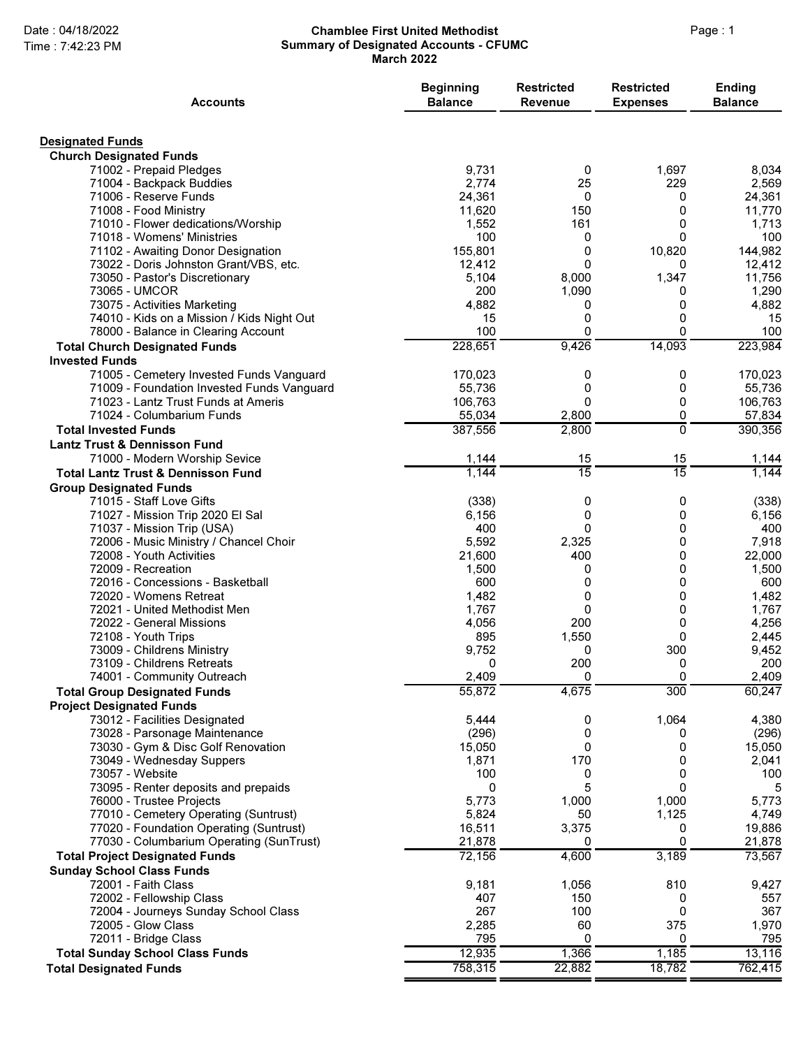#### Date : 04/18/2022 **Chamblee First United Methodist** Page : 1 Summary of Designated Accounts - CFUMC March 2022

| <b>Accounts</b>                                                                        | <b>Beginning</b><br><b>Balance</b> | <b>Restricted</b><br><b>Revenue</b> | <b>Restricted</b><br><b>Expenses</b> | Ending<br><b>Balance</b> |
|----------------------------------------------------------------------------------------|------------------------------------|-------------------------------------|--------------------------------------|--------------------------|
| <b>Designated Funds</b>                                                                |                                    |                                     |                                      |                          |
| <b>Church Designated Funds</b>                                                         |                                    |                                     |                                      |                          |
| 71002 - Prepaid Pledges                                                                | 9,731                              | 0                                   | 1,697                                | 8,034                    |
| 71004 - Backpack Buddies                                                               | 2,774                              | 25                                  | 229                                  | 2,569                    |
| 71006 - Reserve Funds                                                                  | 24,361                             | 0                                   | 0                                    | 24,361                   |
| 71008 - Food Ministry<br>71010 - Flower dedications/Worship                            | 11,620                             | 150<br>161                          | 0<br>0                               | 11,770                   |
| 71018 - Womens' Ministries                                                             | 1,552<br>100                       | 0                                   | 0                                    | 1,713<br>100             |
| 71102 - Awaiting Donor Designation                                                     | 155,801                            | 0                                   | 10,820                               | 144,982                  |
| 73022 - Doris Johnston Grant/VBS, etc.                                                 | 12.412                             | 0                                   | 0                                    | 12,412                   |
| 73050 - Pastor's Discretionary                                                         | 5,104                              | 8,000                               | 1,347                                | 11,756                   |
| 73065 - UMCOR                                                                          | 200                                | 1,090                               | 0                                    | 1,290                    |
| 73075 - Activities Marketing                                                           | 4,882                              | 0                                   | 0                                    | 4,882                    |
| 74010 - Kids on a Mission / Kids Night Out                                             | 15                                 | 0                                   | 0                                    | 15                       |
| 78000 - Balance in Clearing Account                                                    | 100                                | 0                                   | 0                                    | 100                      |
| <b>Total Church Designated Funds</b>                                                   | 228,651                            | 9,426                               | 14,093                               | 223,984                  |
| <b>Invested Funds</b>                                                                  |                                    |                                     |                                      |                          |
| 71005 - Cemetery Invested Funds Vanguard<br>71009 - Foundation Invested Funds Vanguard | 170,023<br>55,736                  | 0<br>0                              | 0<br>0                               | 170,023<br>55,736        |
| 71023 - Lantz Trust Funds at Ameris                                                    | 106,763                            | 0                                   | 0                                    | 106,763                  |
| 71024 - Columbarium Funds                                                              | 55,034                             | 2,800                               | 0                                    | 57,834                   |
| <b>Total Invested Funds</b>                                                            | 387,556                            | 2,800                               | $\Omega$                             | 390,356                  |
| <b>Lantz Trust &amp; Dennisson Fund</b>                                                |                                    |                                     |                                      |                          |
| 71000 - Modern Worship Sevice                                                          | 1,144                              | 15                                  | 15                                   | 1,144                    |
| <b>Total Lantz Trust &amp; Dennisson Fund</b>                                          | 1,144                              | $\overline{15}$                     | $\overline{15}$                      | 1,144                    |
| <b>Group Designated Funds</b>                                                          |                                    |                                     |                                      |                          |
| 71015 - Staff Love Gifts                                                               | (338)                              | 0                                   | 0                                    | (338)                    |
| 71027 - Mission Trip 2020 El Sal                                                       | 6,156                              | 0                                   | 0                                    | 6,156                    |
| 71037 - Mission Trip (USA)                                                             | 400                                | 0                                   | 0                                    | 400                      |
| 72006 - Music Ministry / Chancel Choir                                                 | 5,592                              | 2,325                               | 0                                    | 7,918                    |
| 72008 - Youth Activities                                                               | 21,600                             | 400                                 | 0                                    | 22,000                   |
| 72009 - Recreation                                                                     | 1,500<br>600                       | 0                                   | 0                                    | 1,500                    |
| 72016 - Concessions - Basketball<br>72020 - Womens Retreat                             | 1,482                              | 0<br>0                              | 0<br>0                               | 600<br>1,482             |
| 72021 - United Methodist Men                                                           | 1,767                              | 0                                   | 0                                    | 1,767                    |
| 72022 - General Missions                                                               | 4,056                              | 200                                 | 0                                    | 4,256                    |
| 72108 - Youth Trips                                                                    | 895                                | 1,550                               | 0                                    | 2,445                    |
| 73009 - Childrens Ministry                                                             | 9,752                              | 0                                   | 300                                  | 9,452                    |
| 73109 - Childrens Retreats                                                             | <sup>n</sup>                       | 200                                 | 0                                    | 200                      |
| 74001 - Community Outreach                                                             | 2,409                              | 0                                   | 0                                    | 2,409                    |
| <b>Total Group Designated Funds</b>                                                    | 55,872                             | 4,675                               | 300                                  | 60,247                   |
| <b>Project Designated Funds</b>                                                        |                                    |                                     |                                      |                          |
| 73012 - Facilities Designated                                                          | 5,444                              | 0                                   | 1,064                                | 4,380                    |
| 73028 - Parsonage Maintenance                                                          | (296)                              | 0                                   | 0                                    | (296)                    |
| 73030 - Gym & Disc Golf Renovation                                                     | 15,050                             | 0                                   | 0                                    | 15,050                   |
| 73049 - Wednesday Suppers<br>73057 - Website                                           | 1,871<br>100                       | 170<br>0                            | 0<br>0                               | 2,041<br>100             |
| 73095 - Renter deposits and prepaids                                                   | 0                                  | 5                                   | 0                                    | 5                        |
| 76000 - Trustee Projects                                                               | 5,773                              | 1,000                               | 1,000                                | 5,773                    |
| 77010 - Cemetery Operating (Suntrust)                                                  | 5,824                              | 50                                  | 1,125                                | 4,749                    |
| 77020 - Foundation Operating (Suntrust)                                                | 16,511                             | 3,375                               | 0                                    | 19,886                   |
| 77030 - Columbarium Operating (SunTrust)                                               | 21,878                             | 0                                   | 0                                    | 21,878                   |
| <b>Total Project Designated Funds</b>                                                  | 72,156                             | 4,600                               | 3,189                                | 73,567                   |
| <b>Sunday School Class Funds</b>                                                       |                                    |                                     |                                      |                          |
| 72001 - Faith Class                                                                    | 9,181                              | 1,056                               | 810                                  | 9,427                    |
| 72002 - Fellowship Class                                                               | 407                                | 150                                 | 0                                    | 557                      |
| 72004 - Journeys Sunday School Class                                                   | 267                                | 100                                 | 0                                    | 367                      |
| 72005 - Glow Class                                                                     | 2,285                              | 60                                  | 375                                  | 1,970                    |
| 72011 - Bridge Class                                                                   | 795                                | 0                                   | 0                                    | 795                      |
| <b>Total Sunday School Class Funds</b>                                                 | 12,935                             | 1,366                               | 1,185                                | 13,116                   |
| <b>Total Designated Funds</b>                                                          | 758,315                            | 22,882                              | 18,782                               | 762,415                  |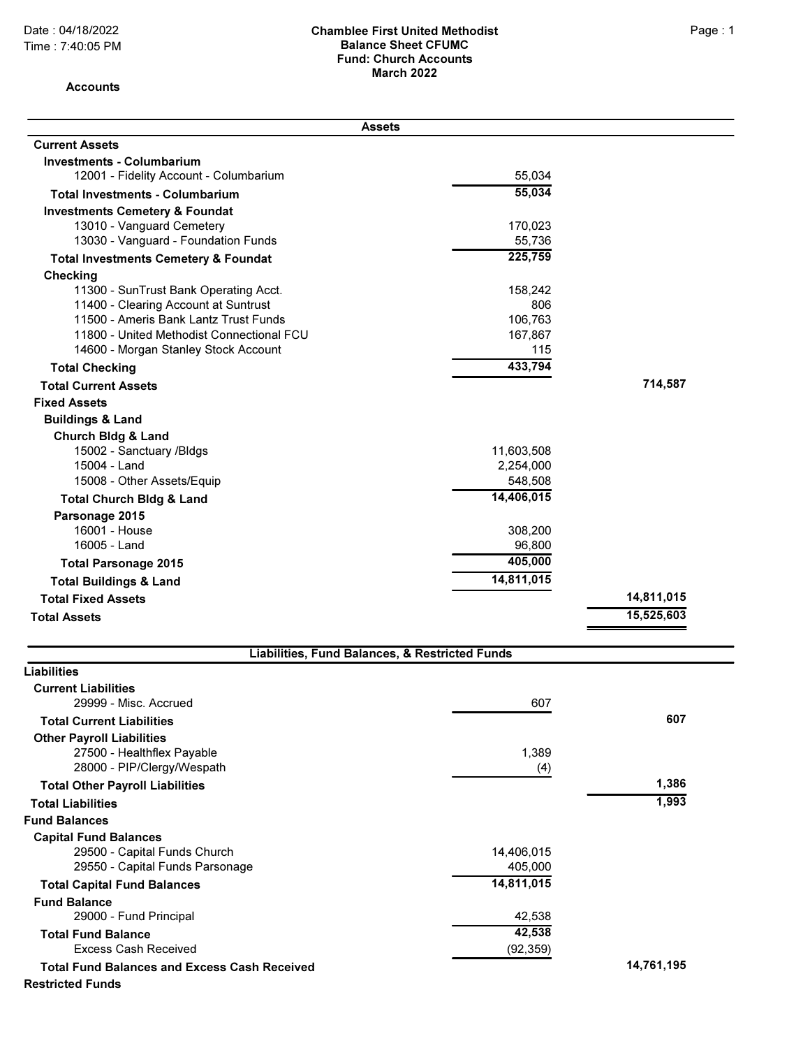#### Date : 04/18/2022 **Chamblee First United Methodist** Page : 1 Balance Sheet CFUMC Fund: Church Accounts March 2022

Accounts

| <b>Assets</b>                                       |                |            |
|-----------------------------------------------------|----------------|------------|
| <b>Current Assets</b>                               |                |            |
| <b>Investments - Columbarium</b>                    |                |            |
| 12001 - Fidelity Account - Columbarium              | 55,034         |            |
| <b>Total Investments - Columbarium</b>              | 55,034         |            |
| <b>Investments Cemetery &amp; Foundat</b>           |                |            |
| 13010 - Vanguard Cemetery                           | 170,023        |            |
| 13030 - Vanguard - Foundation Funds                 | 55,736         |            |
| <b>Total Investments Cemetery &amp; Foundat</b>     | 225,759        |            |
| Checking                                            |                |            |
| 11300 - SunTrust Bank Operating Acct.               | 158,242        |            |
| 11400 - Clearing Account at Suntrust                | 806            |            |
| 11500 - Ameris Bank Lantz Trust Funds               | 106,763        |            |
| 11800 - United Methodist Connectional FCU           | 167,867<br>115 |            |
| 14600 - Morgan Stanley Stock Account                | 433,794        |            |
| <b>Total Checking</b>                               |                |            |
| <b>Total Current Assets</b>                         |                | 714,587    |
| <b>Fixed Assets</b>                                 |                |            |
| <b>Buildings &amp; Land</b>                         |                |            |
| <b>Church Bldg &amp; Land</b>                       |                |            |
| 15002 - Sanctuary /Bldgs                            | 11,603,508     |            |
| 15004 - Land                                        | 2,254,000      |            |
| 15008 - Other Assets/Equip                          | 548,508        |            |
| <b>Total Church Bldg &amp; Land</b>                 | 14,406,015     |            |
| Parsonage 2015                                      |                |            |
| 16001 - House                                       | 308,200        |            |
| 16005 - Land                                        | 96,800         |            |
| <b>Total Parsonage 2015</b>                         | 405,000        |            |
| <b>Total Buildings &amp; Land</b>                   | 14,811,015     |            |
| <b>Total Fixed Assets</b>                           |                | 14,811,015 |
| <b>Total Assets</b>                                 |                | 15,525,603 |
| Liabilities, Fund Balances, & Restricted Funds      |                |            |
| <b>Liabilities</b>                                  |                |            |
| <b>Current Liabilities</b>                          |                |            |
| 29999 - Misc. Accrued                               | 607            |            |
| <b>Total Current Liabilities</b>                    |                | 607        |
| <b>Other Payroll Liabilities</b>                    |                |            |
| 27500 - Healthflex Payable                          | 1,389          |            |
| 28000 - PIP/Clergy/Wespath                          | (4)            |            |
| <b>Total Other Payroll Liabilities</b>              |                | 1,386      |
| <b>Total Liabilities</b>                            |                | 1,993      |
| <b>Fund Balances</b>                                |                |            |
| <b>Capital Fund Balances</b>                        |                |            |
| 29500 - Capital Funds Church                        | 14,406,015     |            |
| 29550 - Capital Funds Parsonage                     | 405,000        |            |
| <b>Total Capital Fund Balances</b>                  | 14,811,015     |            |
| <b>Fund Balance</b>                                 |                |            |
| 29000 - Fund Principal                              | 42,538         |            |
| <b>Total Fund Balance</b>                           | 42,538         |            |
| <b>Excess Cash Received</b>                         | (92, 359)      |            |
| <b>Total Fund Balances and Excess Cash Received</b> |                | 14,761,195 |
| <b>Restricted Funds</b>                             |                |            |